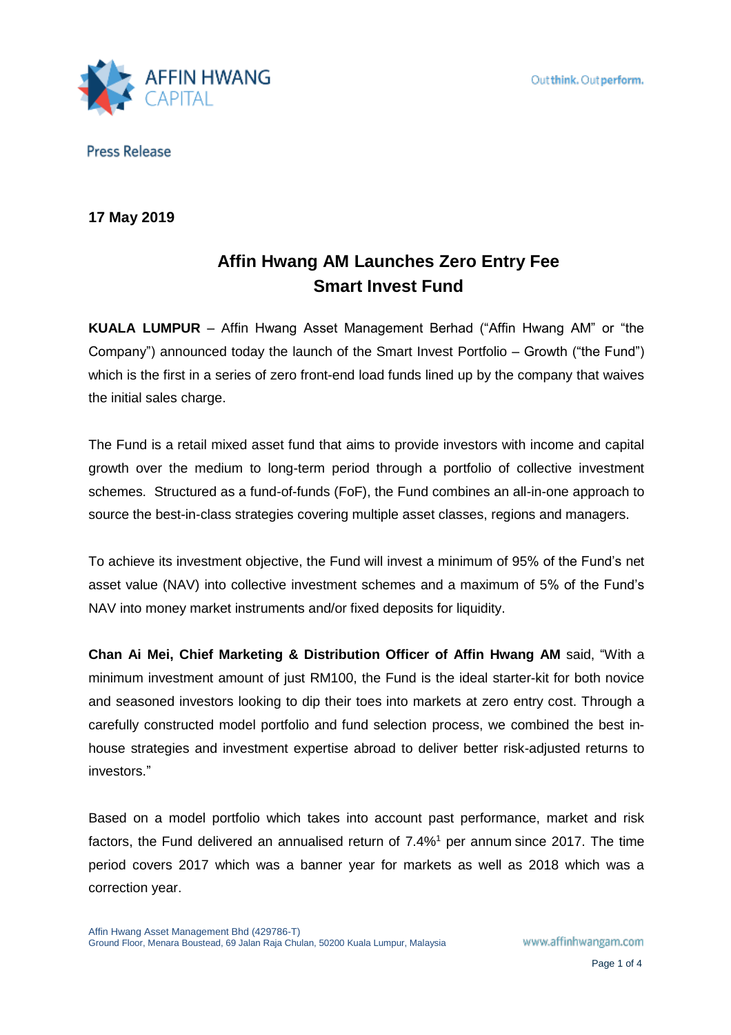

# **17 May 2019**

# **Affin Hwang AM Launches Zero Entry Fee Smart Invest Fund**

**KUALA LUMPUR** – Affin Hwang Asset Management Berhad ("Affin Hwang AM" or "the Company") announced today the launch of the Smart Invest Portfolio – Growth ("the Fund") which is the first in a series of zero front-end load funds lined up by the company that waives the initial sales charge.

The Fund is a retail mixed asset fund that aims to provide investors with income and capital growth over the medium to long-term period through a portfolio of collective investment schemes. Structured as a fund-of-funds (FoF), the Fund combines an all-in-one approach to source the best-in-class strategies covering multiple asset classes, regions and managers.

To achieve its investment objective, the Fund will invest a minimum of 95% of the Fund's net asset value (NAV) into collective investment schemes and a maximum of 5% of the Fund's NAV into money market instruments and/or fixed deposits for liquidity.

**Chan Ai Mei, Chief Marketing & Distribution Officer of Affin Hwang AM** said, "With a minimum investment amount of just RM100, the Fund is the ideal starter-kit for both novice and seasoned investors looking to dip their toes into markets at zero entry cost. Through a carefully constructed model portfolio and fund selection process, we combined the best inhouse strategies and investment expertise abroad to deliver better risk-adjusted returns to investors."

Based on a model portfolio which takes into account past performance, market and risk factors, the Fund delivered an annualised return of 7.4%<sup>1</sup> per annum since 2017. The time period covers 2017 which was a banner year for markets as well as 2018 which was a correction year.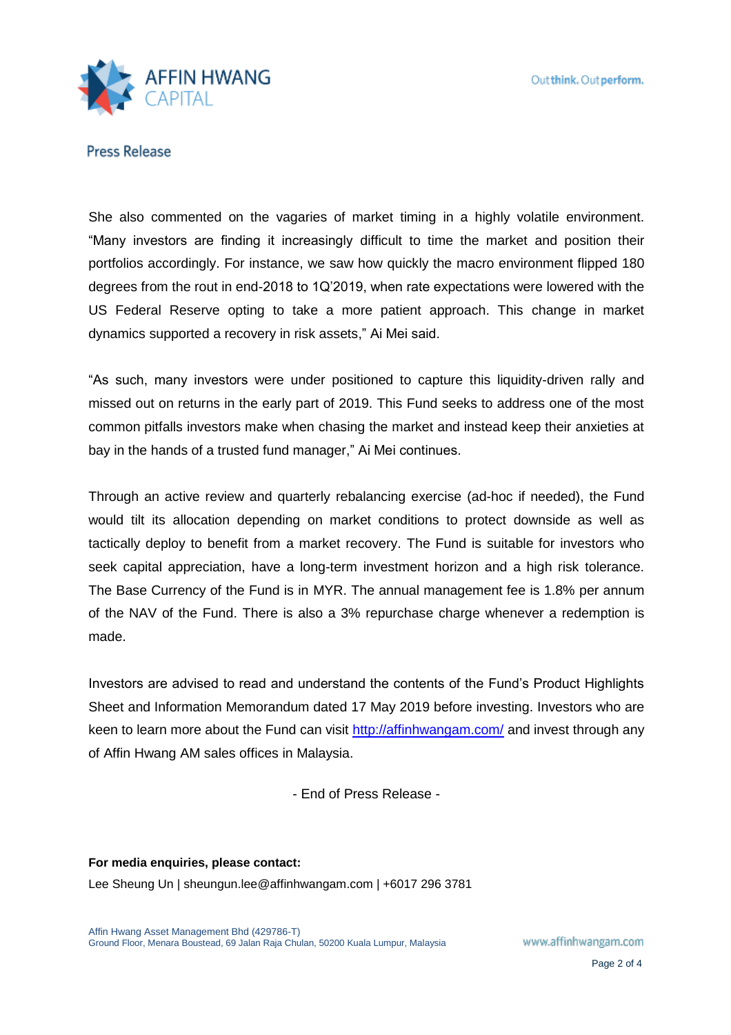

She also commented on the vagaries of market timing in a highly volatile environment. "Many investors are finding it increasingly difficult to time the market and position their portfolios accordingly. For instance, we saw how quickly the macro environment flipped 180 degrees from the rout in end-2018 to 1Q'2019, when rate expectations were lowered with the US Federal Reserve opting to take a more patient approach. This change in market dynamics supported a recovery in risk assets," Ai Mei said.

"As such, many investors were under positioned to capture this liquidity-driven rally and missed out on returns in the early part of 2019. This Fund seeks to address one of the most common pitfalls investors make when chasing the market and instead keep their anxieties at bay in the hands of a trusted fund manager," Ai Mei continues.

Through an active review and quarterly rebalancing exercise (ad-hoc if needed), the Fund would tilt its allocation depending on market conditions to protect downside as well as tactically deploy to benefit from a market recovery. The Fund is suitable for investors who seek capital appreciation, have a long-term investment horizon and a high risk tolerance. The Base Currency of the Fund is in MYR. The annual management fee is 1.8% per annum of the NAV of the Fund. There is also a 3% repurchase charge whenever a redemption is made.

Investors are advised to read and understand the contents of the Fund's Product Highlights Sheet and Information Memorandum dated 17 May 2019 before investing. Investors who are keen to learn more about the Fund can visit<http://affinhwangam.com/> and invest through any of Affin Hwang AM sales offices in Malaysia.

- End of Press Release -

**For media enquiries, please contact:**  Lee Sheung Un | sheungun.lee@affinhwangam.com | +6017 296 3781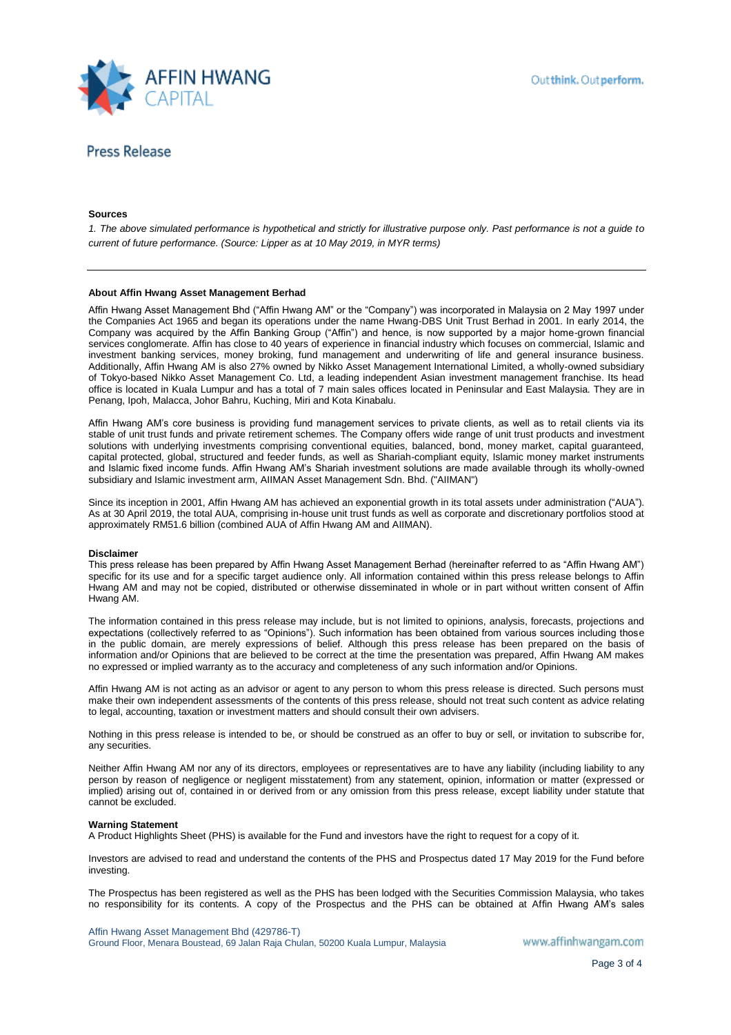

### **Sources**

*1. The above simulated performance is hypothetical and strictly for illustrative purpose only. Past performance is not a guide to current of future performance. (Source: Lipper as at 10 May 2019, in MYR terms)*

### **About Affin Hwang Asset Management Berhad**

Affin Hwang Asset Management Bhd ("Affin Hwang AM" or the "Company") was incorporated in Malaysia on 2 May 1997 under the Companies Act 1965 and began its operations under the name Hwang-DBS Unit Trust Berhad in 2001. In early 2014, the Company was acquired by the Affin Banking Group ("Affin") and hence, is now supported by a major home-grown financial services conglomerate. Affin has close to 40 years of experience in financial industry which focuses on commercial, Islamic and investment banking services, money broking, fund management and underwriting of life and general insurance business. Additionally, Affin Hwang AM is also 27% owned by Nikko Asset Management International Limited, a wholly-owned subsidiary of Tokyo-based Nikko Asset Management Co. Ltd, a leading independent Asian investment management franchise. Its head office is located in Kuala Lumpur and has a total of 7 main sales offices located in Peninsular and East Malaysia. They are in Penang, Ipoh, Malacca, Johor Bahru, Kuching, Miri and Kota Kinabalu.

Affin Hwang AM's core business is providing fund management services to private clients, as well as to retail clients via its stable of unit trust funds and private retirement schemes. The Company offers wide range of unit trust products and investment solutions with underlying investments comprising conventional equities, balanced, bond, money market, capital guaranteed, capital protected, global, structured and feeder funds, as well as Shariah-compliant equity, Islamic money market instruments and Islamic fixed income funds. Affin Hwang AM's Shariah investment solutions are made available through its wholly-owned subsidiary and Islamic investment arm, AIIMAN Asset Management Sdn. Bhd. ("AIIMAN")

Since its inception in 2001, Affin Hwang AM has achieved an exponential growth in its total assets under administration ("AUA"). As at 30 April 2019, the total AUA, comprising in-house unit trust funds as well as corporate and discretionary portfolios stood at approximately RM51.6 billion (combined AUA of Affin Hwang AM and AIIMAN).

#### **Disclaimer**

This press release has been prepared by Affin Hwang Asset Management Berhad (hereinafter referred to as "Affin Hwang AM") specific for its use and for a specific target audience only. All information contained within this press release belongs to Affin Hwang AM and may not be copied, distributed or otherwise disseminated in whole or in part without written consent of Affin Hwang AM.

The information contained in this press release may include, but is not limited to opinions, analysis, forecasts, projections and expectations (collectively referred to as "Opinions"). Such information has been obtained from various sources including those in the public domain, are merely expressions of belief. Although this press release has been prepared on the basis of information and/or Opinions that are believed to be correct at the time the presentation was prepared, Affin Hwang AM makes no expressed or implied warranty as to the accuracy and completeness of any such information and/or Opinions.

Affin Hwang AM is not acting as an advisor or agent to any person to whom this press release is directed. Such persons must make their own independent assessments of the contents of this press release, should not treat such content as advice relating to legal, accounting, taxation or investment matters and should consult their own advisers.

Nothing in this press release is intended to be, or should be construed as an offer to buy or sell, or invitation to subscribe for, any securities.

Neither Affin Hwang AM nor any of its directors, employees or representatives are to have any liability (including liability to any person by reason of negligence or negligent misstatement) from any statement, opinion, information or matter (expressed or implied) arising out of, contained in or derived from or any omission from this press release, except liability under statute that cannot be excluded.

### **Warning Statement**

A Product Highlights Sheet (PHS) is available for the Fund and investors have the right to request for a copy of it.

Investors are advised to read and understand the contents of the PHS and Prospectus dated 17 May 2019 for the Fund before investing.

The Prospectus has been registered as well as the PHS has been lodged with the Securities Commission Malaysia, who takes no responsibility for its contents. A copy of the Prospectus and the PHS can be obtained at Affin Hwang AM's sales

Affin Hwang Asset Management Bhd (429786-T) Ground Floor, Menara Boustead, 69 Jalan Raja Chulan, 50200 Kuala Lumpur, Malaysia